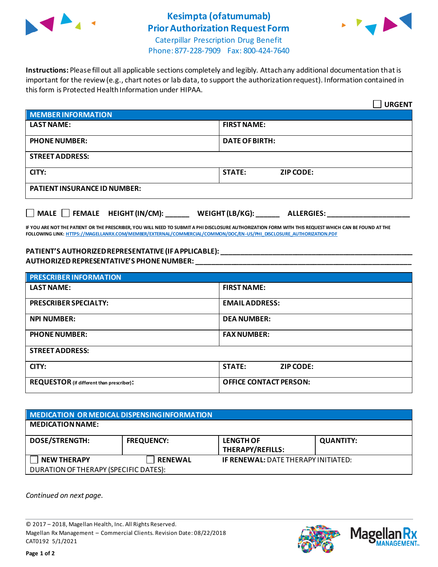

## **Kesimpta (ofatumumab) Prior Authorization Request Form**



Caterpillar Prescription Drug Benefit Phone: 877-228-7909 Fax: 800-424-7640

**Instructions:** Please fill out all applicable sections completely and legibly. Attach any additional documentation that is important for the review (e.g., chart notes or lab data, to support the authorization request). Information contained in this form is Protected Health Information under HIPAA.

|                                                                                   | <b>URGENT</b>                     |  |  |  |
|-----------------------------------------------------------------------------------|-----------------------------------|--|--|--|
| <b>MEMBER INFORMATION</b>                                                         |                                   |  |  |  |
| <b>LAST NAME:</b>                                                                 | <b>FIRST NAME:</b>                |  |  |  |
| <b>PHONE NUMBER:</b>                                                              | <b>DATE OF BIRTH:</b>             |  |  |  |
| <b>STREET ADDRESS:</b>                                                            |                                   |  |  |  |
| CITY:                                                                             | <b>STATE:</b><br><b>ZIP CODE:</b> |  |  |  |
| <b>PATIENT INSURANCE ID NUMBER:</b>                                               |                                   |  |  |  |
| $\Box$ MALE $\Box$ FEMALE HEIGHT (IN/CM):<br>WEIGHT (LB/KG):<br><b>ALLERGIES:</b> |                                   |  |  |  |

**IF YOU ARE NOT THE PATIENT OR THE PRESCRIBER, YOU WILL NEED TO SUBMIT A PHI DISCLOSURE AUTHORIZATION FORM WITH THIS REQUEST WHICH CAN BE FOUND AT THE FOLLOWING LINK[: HTTPS://MAGELLANRX.COM/MEMBER/EXTERNAL/COMMERCIAL/COMMON/DOC/EN-US/PHI\\_DISCLOSURE\\_AUTHORIZATION.PDF](https://magellanrx.com/member/external/commercial/common/doc/en-us/PHI_Disclosure_Authorization.pdf)**

## **PATIENT'S AUTHORIZED REPRESENTATIVE (IF APPLICABLE): \_\_\_\_\_\_\_\_\_\_\_\_\_\_\_\_\_\_\_\_\_\_\_\_\_\_\_\_\_\_\_\_\_\_\_\_\_\_\_\_\_\_\_\_\_\_\_\_\_ AUTHORIZED REPRESENTATIVE'S PHONE NUMBER: \_\_\_\_\_\_\_\_\_\_\_\_\_\_\_\_\_\_\_\_\_\_\_\_\_\_\_\_\_\_\_\_\_\_\_\_\_\_\_\_\_\_\_\_\_\_\_\_\_\_\_\_\_\_\_**

| <b>PRESCRIBER INFORMATION</b>             |                                   |  |
|-------------------------------------------|-----------------------------------|--|
| <b>LAST NAME:</b>                         | <b>FIRST NAME:</b>                |  |
| <b>PRESCRIBER SPECIALTY:</b>              | <b>EMAIL ADDRESS:</b>             |  |
| <b>NPI NUMBER:</b>                        | <b>DEA NUMBER:</b>                |  |
| <b>PHONE NUMBER:</b>                      | <b>FAX NUMBER:</b>                |  |
| <b>STREET ADDRESS:</b>                    |                                   |  |
| CITY:                                     | <b>STATE:</b><br><b>ZIP CODE:</b> |  |
| REQUESTOR (if different than prescriber): | <b>OFFICE CONTACT PERSON:</b>     |  |

| MEDICATION OR MEDICAL DISPENSING INFORMATION |                   |                                            |                  |  |  |
|----------------------------------------------|-------------------|--------------------------------------------|------------------|--|--|
| <b>MEDICATION NAME:</b>                      |                   |                                            |                  |  |  |
| <b>DOSE/STRENGTH:</b>                        | <b>FREQUENCY:</b> | <b>LENGTH OF</b><br>THERAPY/REFILLS:       | <b>QUANTITY:</b> |  |  |
| <b>NEW THERAPY</b>                           | <b>RENEWAL</b>    | <b>IF RENEWAL: DATE THERAPY INITIATED:</b> |                  |  |  |
| DURATION OF THERAPY (SPECIFIC DATES):        |                   |                                            |                  |  |  |

*Continued on next page.*

© 2017 – 2018, Magellan Health, Inc. All Rights Reserved. Magellan Rx Management – Commercial Clients. Revision Date: 08/22/2018 CAT0192 5/1/2021